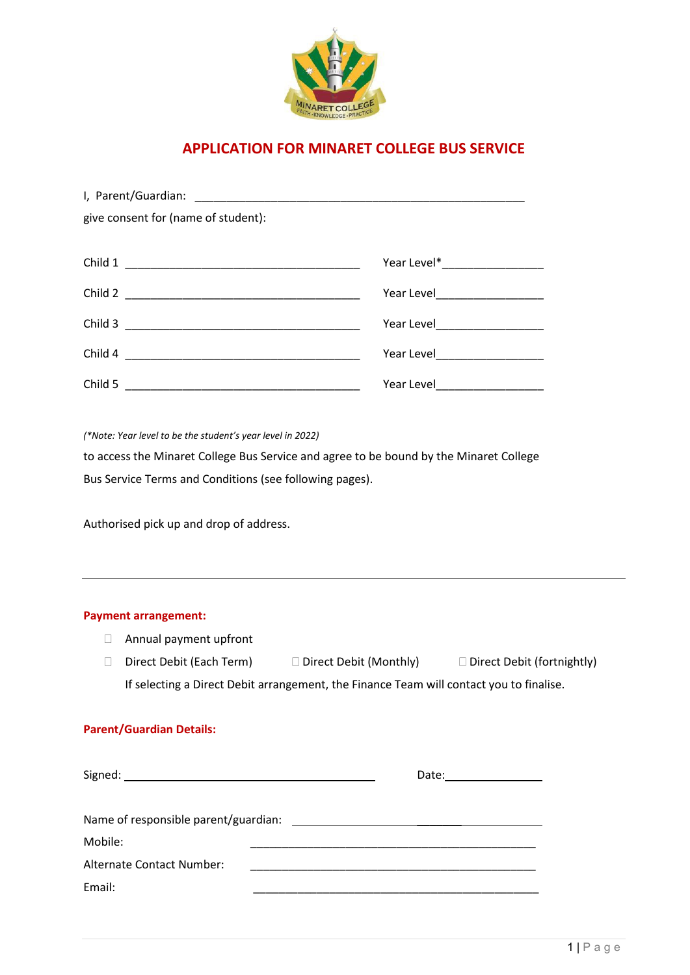

# **APPLICATION FOR MINARET COLLEGE BUS SERVICE**

| give consent for (name of student): |                      |
|-------------------------------------|----------------------|
|                                     |                      |
| Child 1                             |                      |
| Child 2                             |                      |
| Child 3                             |                      |
|                                     |                      |
| Child 5                             | Year Level__________ |

*(\*Note: Year level to be the student's year level in 2022)*

to access the Minaret College Bus Service and agree to be bound by the Minaret College Bus Service Terms and Conditions (see following pages).

Authorised pick up and drop of address.

# **Payment arrangement:**

- Annual payment upfront
- Direct Debit (Each Term)  $\Box$  Direct Debit (Monthly)  $\Box$  Direct Debit (fortnightly) If selecting a Direct Debit arrangement, the Finance Team will contact you to finalise.

#### **Parent/Guardian Details:**

| Mobile:                   |  |
|---------------------------|--|
| Alternate Contact Number: |  |
| Email:                    |  |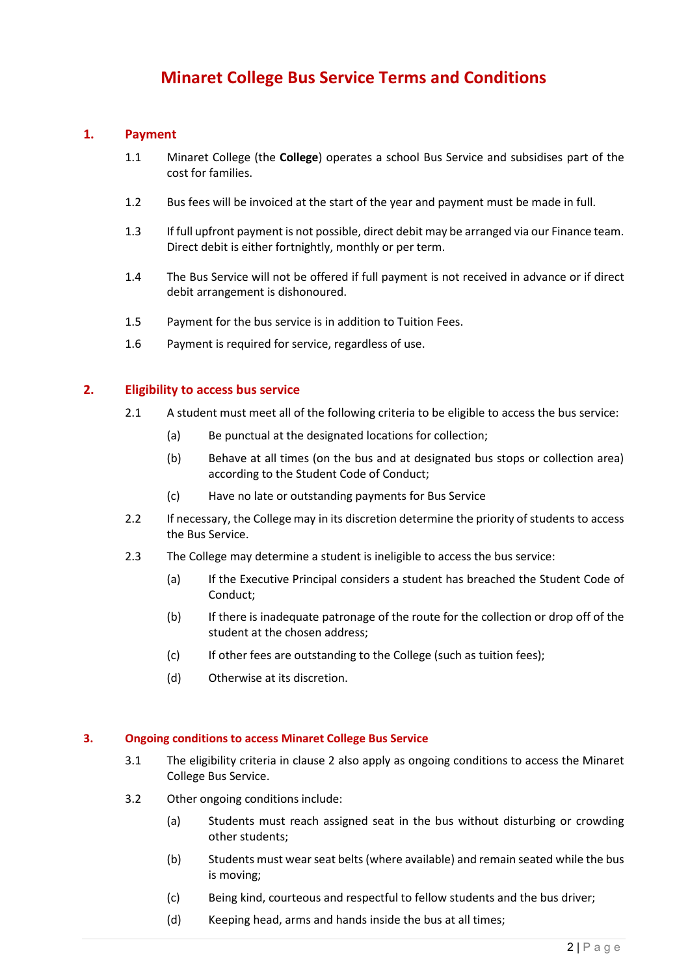# **Minaret College Bus Service Terms and Conditions**

### **1. Payment**

- 1.1 Minaret College (the **College**) operates a school Bus Service and subsidises part of the cost for families.
- 1.2 Bus fees will be invoiced at the start of the year and payment must be made in full.
- 1.3 If full upfront payment is not possible, direct debit may be arranged via our Finance team. Direct debit is either fortnightly, monthly or per term.
- 1.4 The Bus Service will not be offered if full payment is not received in advance or if direct debit arrangement is dishonoured.
- 1.5 Payment for the bus service is in addition to Tuition Fees.
- 1.6 Payment is required for service, regardless of use.

#### **2. Eligibility to access bus service**

- 2.1 A student must meet all of the following criteria to be eligible to access the bus service:
	- (a) Be punctual at the designated locations for collection;
	- (b) Behave at all times (on the bus and at designated bus stops or collection area) according to the Student Code of Conduct;
	- (c) Have no late or outstanding payments for Bus Service
- 2.2 If necessary, the College may in its discretion determine the priority of students to access the Bus Service.
- 2.3 The College may determine a student is ineligible to access the bus service:
	- (a) If the Executive Principal considers a student has breached the Student Code of Conduct;
	- (b) If there is inadequate patronage of the route for the collection or drop off of the student at the chosen address;
	- (c) If other fees are outstanding to the College (such as tuition fees);
	- (d) Otherwise at its discretion.

#### **3. Ongoing conditions to access Minaret College Bus Service**

- 3.1 The eligibility criteria in clause 2 also apply as ongoing conditions to access the Minaret College Bus Service.
- 3.2 Other ongoing conditions include:
	- (a) Students must reach assigned seat in the bus without disturbing or crowding other students;
	- (b) Students must wear seat belts (where available) and remain seated while the bus is moving;
	- (c) Being kind, courteous and respectful to fellow students and the bus driver;
	- (d) Keeping head, arms and hands inside the bus at all times;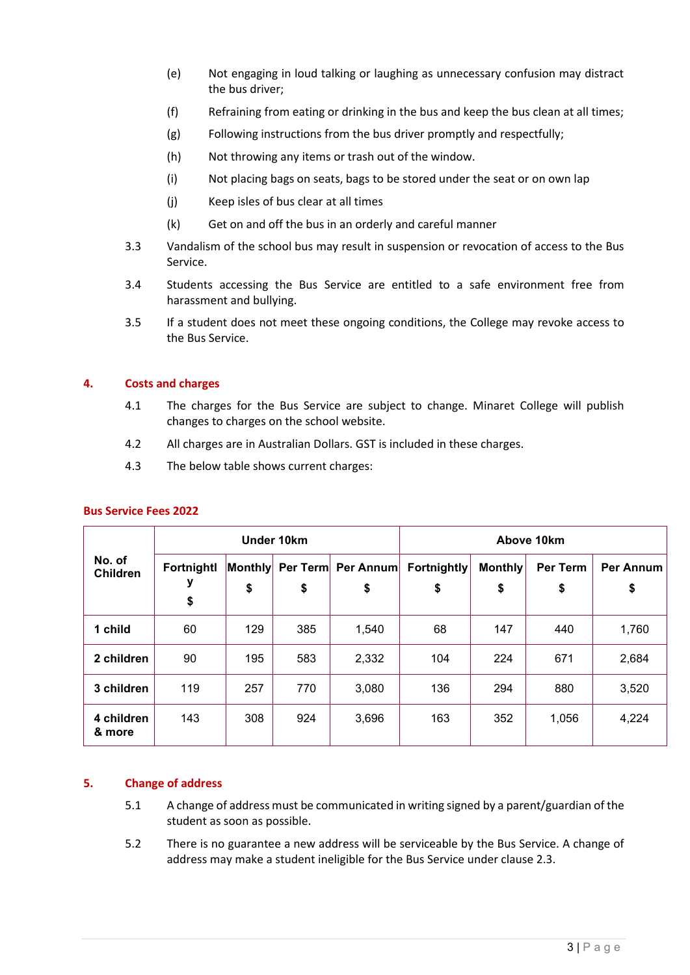- (e) Not engaging in loud talking or laughing as unnecessary confusion may distract the bus driver;
- (f) Refraining from eating or drinking in the bus and keep the bus clean at all times;
- (g) Following instructions from the bus driver promptly and respectfully;
- (h) Not throwing any items or trash out of the window.
- (i) Not placing bags on seats, bags to be stored under the seat or on own lap
- (j) Keep isles of bus clear at all times
- (k) Get on and off the bus in an orderly and careful manner
- 3.3 Vandalism of the school bus may result in suspension or revocation of access to the Bus Service.
- 3.4 Students accessing the Bus Service are entitled to a safe environment free from harassment and bullying.
- 3.5 If a student does not meet these ongoing conditions, the College may revoke access to the Bus Service.

#### **4. Costs and charges**

- 4.1 The charges for the Bus Service are subject to change. Minaret College will publish changes to charges on the school website.
- 4.2 All charges are in Australian Dollars. GST is included in these charges.
- 4.3 The below table shows current charges:

| No. of<br><b>Children</b> | Under 10km            |               |     | Above 10km               |                          |                      |                       |                        |
|---------------------------|-----------------------|---------------|-----|--------------------------|--------------------------|----------------------|-----------------------|------------------------|
|                           | Fortnightl<br>у<br>\$ | Monthly<br>\$ | \$  | Per Term Per Annum<br>\$ | <b>Fortnightly</b><br>\$ | <b>Monthly</b><br>\$ | <b>Per Term</b><br>\$ | <b>Per Annum</b><br>\$ |
| 1 child                   | 60                    | 129           | 385 | 1,540                    | 68                       | 147                  | 440                   | 1,760                  |
| 2 children                | 90                    | 195           | 583 | 2,332                    | 104                      | 224                  | 671                   | 2,684                  |
| 3 children                | 119                   | 257           | 770 | 3,080                    | 136                      | 294                  | 880                   | 3,520                  |
| 4 children<br>& more      | 143                   | 308           | 924 | 3,696                    | 163                      | 352                  | 1,056                 | 4,224                  |

#### **Bus Service Fees 2022**

#### **5. Change of address**

- 5.1 A change of address must be communicated in writing signed by a parent/guardian of the student as soon as possible.
- 5.2 There is no guarantee a new address will be serviceable by the Bus Service. A change of address may make a student ineligible for the Bus Service under clause 2.3.